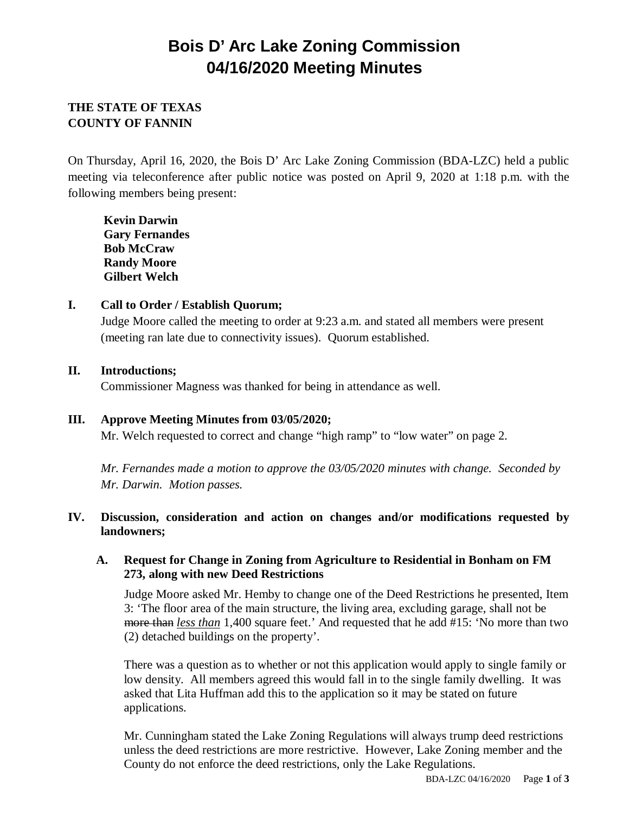# **Bois D' Arc Lake Zoning Commission 04/16/2020 Meeting Minutes**

## **THE STATE OF TEXAS COUNTY OF FANNIN**

On Thursday, April 16, 2020, the Bois D' Arc Lake Zoning Commission (BDA-LZC) held a public meeting via teleconference after public notice was posted on April 9, 2020 at 1:18 p.m. with the following members being present:

**Kevin Darwin Gary Fernandes Bob McCraw Randy Moore Gilbert Welch**

#### **I. Call to Order / Establish Quorum;**

Judge Moore called the meeting to order at 9:23 a.m. and stated all members were present (meeting ran late due to connectivity issues). Quorum established.

#### **II. Introductions;**

Commissioner Magness was thanked for being in attendance as well.

## **III. Approve Meeting Minutes from 03/05/2020;**

Mr. Welch requested to correct and change "high ramp" to "low water" on page 2.

*Mr. Fernandes made a motion to approve the 03/05/2020 minutes with change. Seconded by Mr. Darwin. Motion passes.*

## **IV. Discussion, consideration and action on changes and/or modifications requested by landowners;**

#### **A. Request for Change in Zoning from Agriculture to Residential in Bonham on FM 273, along with new Deed Restrictions**

Judge Moore asked Mr. Hemby to change one of the Deed Restrictions he presented, Item 3: 'The floor area of the main structure, the living area, excluding garage, shall not be more than *less than* 1,400 square feet.' And requested that he add #15: 'No more than two (2) detached buildings on the property'.

There was a question as to whether or not this application would apply to single family or low density. All members agreed this would fall in to the single family dwelling. It was asked that Lita Huffman add this to the application so it may be stated on future applications.

Mr. Cunningham stated the Lake Zoning Regulations will always trump deed restrictions unless the deed restrictions are more restrictive. However, Lake Zoning member and the County do not enforce the deed restrictions, only the Lake Regulations.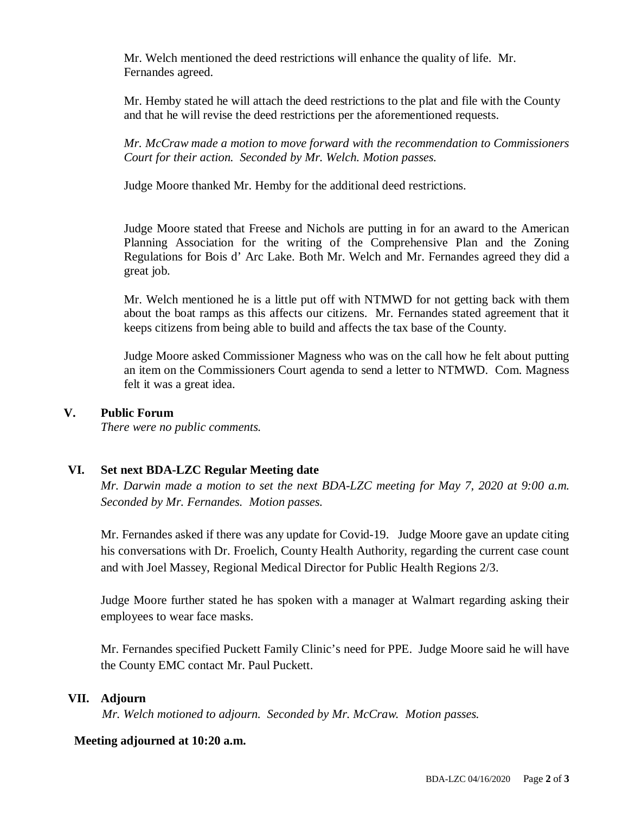Mr. Welch mentioned the deed restrictions will enhance the quality of life. Mr. Fernandes agreed.

Mr. Hemby stated he will attach the deed restrictions to the plat and file with the County and that he will revise the deed restrictions per the aforementioned requests.

*Mr. McCraw made a motion to move forward with the recommendation to Commissioners Court for their action. Seconded by Mr. Welch. Motion passes.*

Judge Moore thanked Mr. Hemby for the additional deed restrictions.

Judge Moore stated that Freese and Nichols are putting in for an award to the American Planning Association for the writing of the Comprehensive Plan and the Zoning Regulations for Bois d' Arc Lake. Both Mr. Welch and Mr. Fernandes agreed they did a great job.

Mr. Welch mentioned he is a little put off with NTMWD for not getting back with them about the boat ramps as this affects our citizens. Mr. Fernandes stated agreement that it keeps citizens from being able to build and affects the tax base of the County.

Judge Moore asked Commissioner Magness who was on the call how he felt about putting an item on the Commissioners Court agenda to send a letter to NTMWD. Com. Magness felt it was a great idea.

#### **V. Public Forum**

*There were no public comments.*

#### **VI. Set next BDA-LZC Regular Meeting date**

*Mr. Darwin made a motion to set the next BDA-LZC meeting for May 7, 2020 at 9:00 a.m. Seconded by Mr. Fernandes. Motion passes.*

Mr. Fernandes asked if there was any update for Covid-19. Judge Moore gave an update citing his conversations with Dr. Froelich, County Health Authority, regarding the current case count and with Joel Massey, Regional Medical Director for Public Health Regions 2/3.

Judge Moore further stated he has spoken with a manager at Walmart regarding asking their employees to wear face masks.

Mr. Fernandes specified Puckett Family Clinic's need for PPE. Judge Moore said he will have the County EMC contact Mr. Paul Puckett.

#### **VII. Adjourn**

 *Mr. Welch motioned to adjourn. Seconded by Mr. McCraw. Motion passes.* 

#### **Meeting adjourned at 10:20 a.m.**